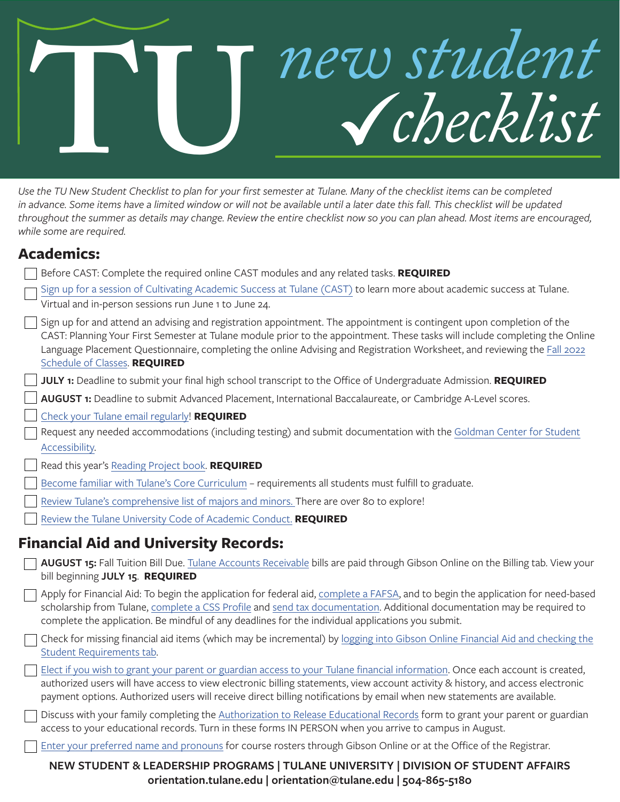# **TU***new student checklist*

*Use the TU New Student Checklist to plan for your first semester at Tulane. Many of the checklist items can be completed*  in advance. Some items have a limited window or will not be available until a later date this fall. This checklist will be updated *throughout the summer as details may change. Review the entire checklist now so you can plan ahead. Most items are encouraged, while some are required.* 

#### **Academics:**

Before CAST: Complete the required online CAST modules and any related tasks. **REQUIRED**

| Sign up for a session of Cultivating Academic Success at Tulane (CAST) to learn more about academic success at Tulane. |
|------------------------------------------------------------------------------------------------------------------------|
| Virtual and in-person sessions run June 1 to June 24.                                                                  |

| Sign up for and attend an advising and registration appointment. The appointment is contingent upon completion of the        |
|------------------------------------------------------------------------------------------------------------------------------|
| CAST: Planning Your First Semester at Tulane module prior to the appointment. These tasks will include completing the Online |
| Language Placement Questionnaire, completing the online Advising and Registration Worksheet, and reviewing the Fall 2022     |
| Schedule of Classes. REQUIRED                                                                                                |

**JULY 1:** Deadline to submit your final high school transcript to the Office of Undergraduate Admission. **REQUIRED**

**AUGUST 1:** Deadline to submit Advanced Placement, International Baccalaureate, or Cambridge A-Level scores.

[Check your Tulane email regularly](https://it.tulane.edu/email)! **REQUIRED**

Request any needed accommodations (including testing) and submit documentation with the [Goldman Center for Student](https://accessibility.tulane.edu/)  [Accessibility](https://accessibility.tulane.edu/).

Read this year's [Reading Project book.](https://firstyear.tulane.edu/programs/reading-project) **REQUIRED**

[Become familiar with Tulane's Core Curriculum](https://advising.tulane.edu/resources/core-curriculum) – requirements all students must fulfill to graduate.

[Review Tulane's comprehensive list of majors and minors.](https://advising.tulane.edu/major) There are over 80 to explore!

[Review the Tulane University Code of Academic Conduct.](https://college.tulane.edu/academics/academic-integrity) **REQUIRED**

#### **Financial Aid and University Records:**

**AUGUST 15:** Fall Tuition Bill Due. [Tulane Accounts Receivable](http://studentaccounts.tulane.edu/) bills are paid through Gibson Online on the Billing tab. View your bill beginning **JULY 15**. **REQUIRED**

Apply for Financial Aid: To begin the application for federal aid, [complete a FAFSA](https://financialaid.tulane.edu/apply/aid/fafsa), and to begin the application for need-based scholarship from Tulane, [complete a CSS Profile](https://financialaid.tulane.edu/apply/aid/css-profile) and [send tax documentation.](https://financialaid.tulane.edu/apply/aid/validation) Additional documentation may be required to complete the application. Be mindful of any deadlines for the individual applications you submit.

Check for missing financial aid items (which may be incremental) by [logging into Gibson Online Financial Aid and checking the](http://gibson.tulane.edu) [Student Requirements tab](http://gibson.tulane.edu).

[Elect if you wish to grant your parent or guardian access to your Tulane financial information](http://studentaccounts.tulane.edu/content/authorized-users). Once each account is created, authorized users will have access to view electronic billing statements, view account activity & history, and access electronic payment options. Authorized users will receive direct billing notifications by email when new statements are available.

Discuss with your family completing the [Authorization to Release Educational Records](http://registrar.tulane.edu/privacy-policies-forms) form to grant your parent or guardian access to your educational records. Turn in these forms IN PERSON when you arrive to campus in August.

[Enter your preferred name and pronouns](http://registrar.tulane.edu/preferred_name/preferred_name.shtml) for course rosters through Gibson Online or at the Office of the Registrar.

#### **NEW STUDENT & LEADERSHIP PROGRAMS | TULANE UNIVERSITY | DIVISION OF STUDENT AFFAIRS orientation.tulane.edu | orientation@tulane.edu | 504-865-5180**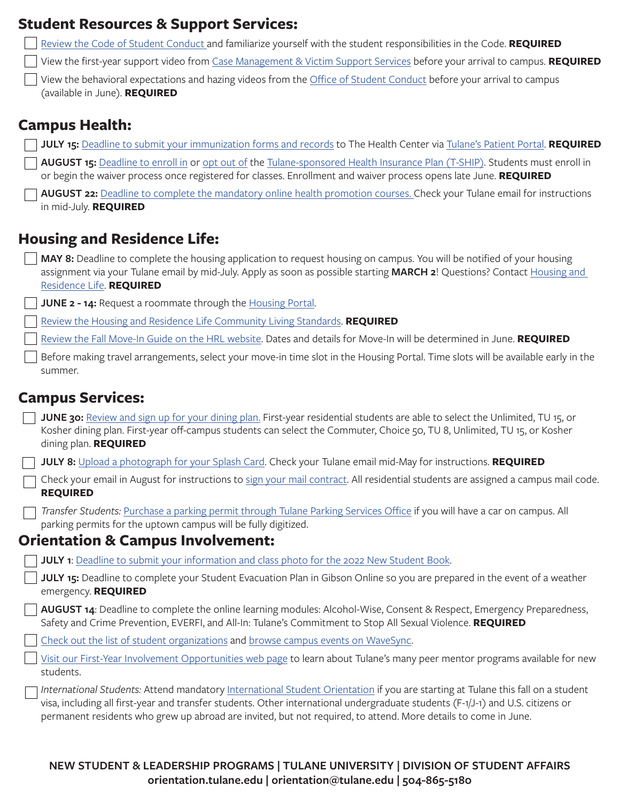| <b>Student Resources &amp; Support Services:</b>                                                                                                                                                                                                                                                                                                                                     |
|--------------------------------------------------------------------------------------------------------------------------------------------------------------------------------------------------------------------------------------------------------------------------------------------------------------------------------------------------------------------------------------|
| Review the Code of Student Conduct and familiarize yourself with the student responsibilities in the Code. REQUIRED                                                                                                                                                                                                                                                                  |
| View the first-year support video from Case Management & Victim Support Services before your arrival to campus. REQUIRED                                                                                                                                                                                                                                                             |
| View the behavioral expectations and hazing videos from the Office of Student Conduct before your arrival to campus<br>(available in June). REQUIRED                                                                                                                                                                                                                                 |
| <b>Campus Health:</b>                                                                                                                                                                                                                                                                                                                                                                |
| JULY 15: Deadline to submit your immunization forms and records to The Health Center via Tulane's Patient Portal. REQUIRED                                                                                                                                                                                                                                                           |
| AUGUST 15: Deadline to enroll in or opt out of the Tulane-sponsored Health Insurance Plan (T-SHIP). Students must enroll in<br>or begin the waiver process once registered for classes. Enrollment and waiver process opens late June. REQUIRED                                                                                                                                      |
| AUGUST 22: Deadline to complete the mandatory online health promotion courses. Check your Tulane email for instructions<br>in mid-July. REQUIRED                                                                                                                                                                                                                                     |
| <b>Housing and Residence Life:</b>                                                                                                                                                                                                                                                                                                                                                   |
| MAY 8: Deadline to complete the housing application to request housing on campus. You will be notified of your housing<br>assignment via your Tulane email by mid-July. Apply as soon as possible starting MARCH 2! Questions? Contact Housing and<br>Residence Life. REQUIRED                                                                                                       |
| <b>JUNE 2 - 14:</b> Request a roommate through the Housing Portal.                                                                                                                                                                                                                                                                                                                   |
| Review the Housing and Residence Life Community Living Standards. REQUIRED                                                                                                                                                                                                                                                                                                           |
| Review the Fall Move-In Guide on the HRL website. Dates and details for Move-In will be determined in June. REQUIRED                                                                                                                                                                                                                                                                 |
| Before making travel arrangements, select your move-in time slot in the Housing Portal. Time slots will be available early in the<br>summer.                                                                                                                                                                                                                                         |
| <b>Campus Services:</b>                                                                                                                                                                                                                                                                                                                                                              |
| JUNE 30: Review and sign up for your dining plan. First-year residential students are able to select the Unlimited, TU 15, or<br>Kosher dining plan. First-year off-campus students can select the Commuter, Choice 50, TU 8, Unlimited, TU 15, or Kosher<br>dining plan. REQUIRED                                                                                                   |
| <b>JULY 8:</b> Upload a photograph for your Splash Card. Check your Tulane email mid-May for instructions. <b>REQUIRED</b>                                                                                                                                                                                                                                                           |
| Check your email in August for instructions to sign your mail contract. All residential students are assigned a campus mail code.<br><b>REQUIRED</b>                                                                                                                                                                                                                                 |
| Transfer Students: Purchase a parking permit through Tulane Parking Services Office if you will have a car on campus. All<br>parking permits for the uptown campus will be fully digitized.                                                                                                                                                                                          |
| <b>Orientation &amp; Campus Involvement:</b>                                                                                                                                                                                                                                                                                                                                         |
| JULY 1: Deadline to submit your information and class photo for the 2022 New Student Book.                                                                                                                                                                                                                                                                                           |
| JULY 15: Deadline to complete your Student Evacuation Plan in Gibson Online so you are prepared in the event of a weather<br>emergency. REQUIRED                                                                                                                                                                                                                                     |
| AUGUST 14: Deadline to complete the online learning modules: Alcohol-Wise, Consent & Respect, Emergency Preparedness,<br>Safety and Crime Prevention, EVERFI, and All-In: Tulane's Commitment to Stop All Sexual Violence. REQUIRED                                                                                                                                                  |
| Check out the list of student organizations and browse campus events on WaveSync.                                                                                                                                                                                                                                                                                                    |
| Visit our First-Year Involvement Opportunities web page to learn about Tulane's many peer mentor programs available for new<br>students.                                                                                                                                                                                                                                             |
| International Students: Attend mandatory International Student Orientation if you are starting at Tulane this fall on a student<br>visa, including all first-year and transfer students. Other international undergraduate students (F-1/J-1) and U.S. citizens or<br>permanent residents who grew up abroad are invited, but not required, to attend. More details to come in June. |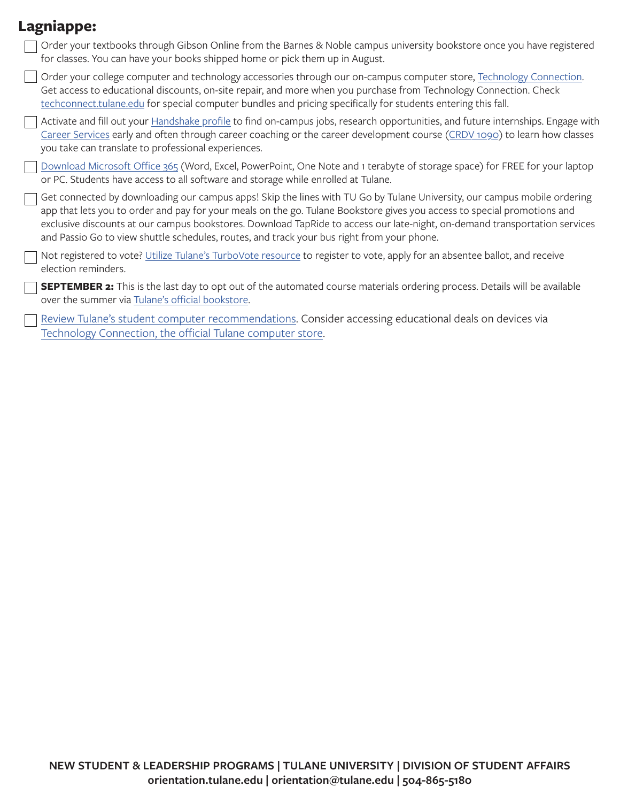#### **Lagniappe:**

| Order your textbooks through Gibson Online from the Barnes & Noble campus university bookstore once you have registered<br>for classes. You can have your books shipped home or pick them up in August.                                                                                                                                                                                                                                                                          |
|----------------------------------------------------------------------------------------------------------------------------------------------------------------------------------------------------------------------------------------------------------------------------------------------------------------------------------------------------------------------------------------------------------------------------------------------------------------------------------|
| Order your college computer and technology accessories through our on-campus computer store, Technology Connection.<br>Get access to educational discounts, on-site repair, and more when you purchase from Technology Connection. Check<br>techconnect.tulane.edu for special computer bundles and pricing specifically for students entering this fall.                                                                                                                        |
| Activate and fill out your Handshake profile to find on-campus jobs, research opportunities, and future internships. Engage with<br>Career Services early and often through career coaching or the career development course (CRDV 1090) to learn how classes<br>you take can translate to professional experiences.                                                                                                                                                             |
| Download Microsoft Office 365 (Word, Excel, PowerPoint, One Note and 1 terabyte of storage space) for FREE for your laptop<br>or PC. Students have access to all software and storage while enrolled at Tulane.                                                                                                                                                                                                                                                                  |
| Get connected by downloading our campus apps! Skip the lines with TU Go by Tulane University, our campus mobile ordering<br>app that lets you to order and pay for your meals on the go. Tulane Bookstore gives you access to special promotions and<br>exclusive discounts at our campus bookstores. Download TapRide to access our late-night, on-demand transportation services<br>and Passio Go to view shuttle schedules, routes, and track your bus right from your phone. |
| Not registered to vote? Utilize Tulane's TurboVote resource to register to vote, apply for an absentee ballot, and receive<br>election reminders.                                                                                                                                                                                                                                                                                                                                |
| <b>SEPTEMBER 2:</b> This is the last day to opt out of the automated course materials ordering process. Details will be available<br>over the summer via Tulane's official bookstore.                                                                                                                                                                                                                                                                                            |
| Review Tulane's student computer recommendations. Consider accessing educational deals on devices via<br>Technology Connection, the official Tulane computer store.                                                                                                                                                                                                                                                                                                              |